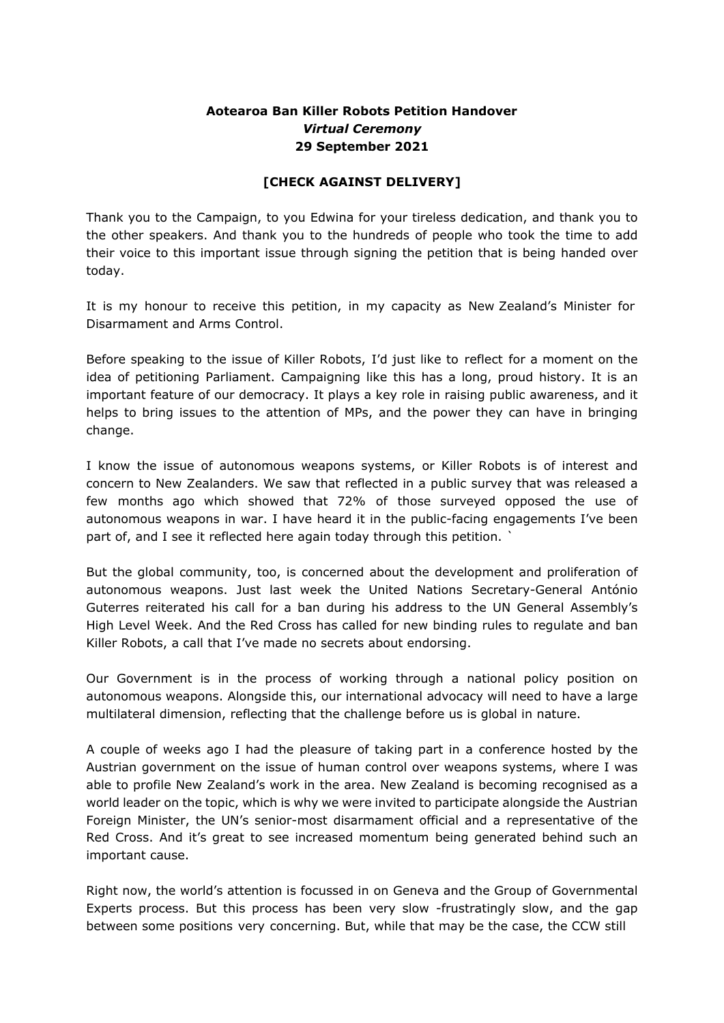## **Aotearoa Ban Killer Robots Petition Handover**  *Virtual Ceremony*  **29 September 2021**

## **[CHECK AGAINST DELIVERY]**

Thank you to the Campaign, to you Edwina for your tireless dedication, and thank you to the other speakers. And thank you to the hundreds of people who took the time to add their voice to this important issue through signing the petition that is being handed over today.

It is my honour to receive this petition, in my capacity as New Zealand's Minister for Disarmament and Arms Control.

Before speaking to the issue of Killer Robots, I'd just like to reflect for a moment on the idea of petitioning Parliament. Campaigning like this has a long, proud history. It is an important feature of our democracy. It plays a key role in raising public awareness, and it helps to bring issues to the attention of MPs, and the power they can have in bringing change.

I know the issue of autonomous weapons systems, or Killer Robots is of interest and concern to New Zealanders. We saw that reflected in a public survey that was released a few months ago which showed that 72% of those surveyed opposed the use of autonomous weapons in war. I have heard it in the public-facing engagements I've been part of, and I see it reflected here again today through this petition. `

But the global community, too, is concerned about the development and proliferation of autonomous weapons. Just last week the United Nations Secretary-General António Guterres reiterated his call for a ban during his address to the UN General Assembly's High Level Week. And the Red Cross has called for new binding rules to regulate and ban Killer Robots, a call that I've made no secrets about endorsing.

Our Government is in the process of working through a national policy position on autonomous weapons. Alongside this, our international advocacy will need to have a large multilateral dimension, reflecting that the challenge before us is global in nature.

A couple of weeks ago I had the pleasure of taking part in a conference hosted by the Austrian government on the issue of human control over weapons systems, where I was able to profile New Zealand's work in the area. New Zealand is becoming recognised as a world leader on the topic, which is why we were invited to participate alongside the Austrian Foreign Minister, the UN's senior-most disarmament official and a representative of the Red Cross. And it's great to see increased momentum being generated behind such an important cause.

Right now, the world's attention is focussed in on Geneva and the Group of Governmental Experts process. But this process has been very slow -frustratingly slow, and the gap between some positions very concerning. But, while that may be the case, the CCW still